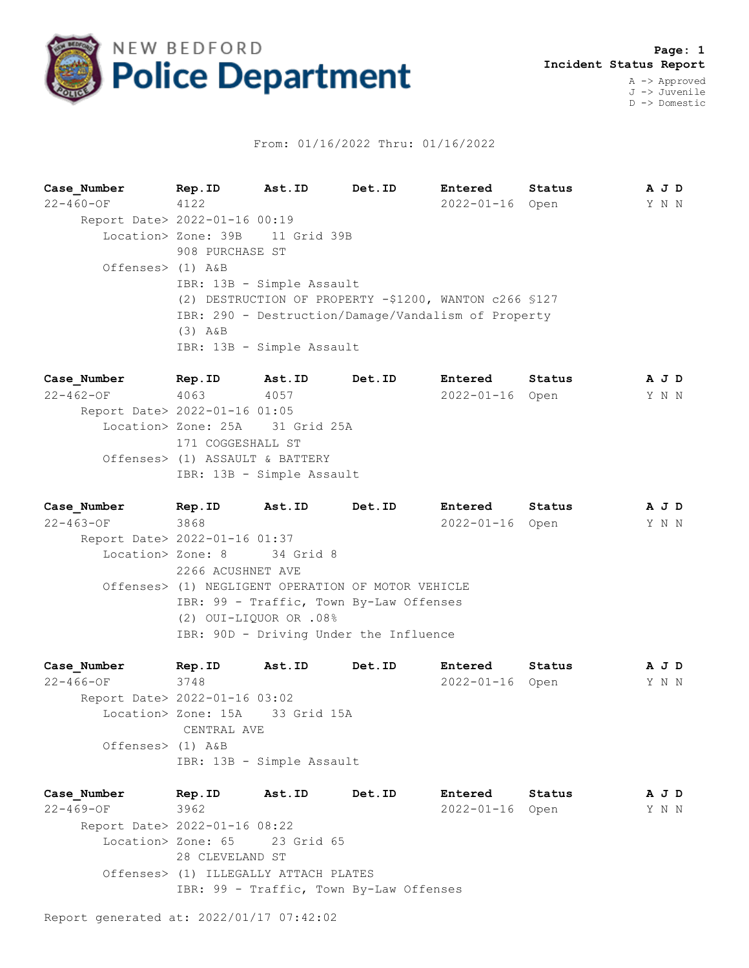

## From: 01/16/2022 Thru: 01/16/2022

**Case\_Number Rep.ID Ast.ID Det.ID Entered Status A J D** 22-460-OF 4122 2022-01-16 Open Y N N Report Date> 2022-01-16 00:19 Location> Zone: 39B 11 Grid 39B 908 PURCHASE ST Offenses> (1) A&B IBR: 13B - Simple Assault (2) DESTRUCTION OF PROPERTY -\$1200, WANTON c266 §127 IBR: 290 - Destruction/Damage/Vandalism of Property (3) A&B IBR: 13B - Simple Assault

**Case\_Number Rep.ID Ast.ID Det.ID Entered Status A J D** 22-462-OF 4063 4057 2022-01-16 Open Y N N Report Date> 2022-01-16 01:05 Location> Zone: 25A 31 Grid 25A 171 COGGESHALL ST Offenses> (1) ASSAULT & BATTERY IBR: 13B - Simple Assault

**Case\_Number Rep.ID Ast.ID Det.ID Entered Status A J D** 22-463-OF 3868 2022-01-16 Open Y N N Report Date> 2022-01-16 01:37 Location> Zone: 8 34 Grid 8 2266 ACUSHNET AVE Offenses> (1) NEGLIGENT OPERATION OF MOTOR VEHICLE IBR: 99 - Traffic, Town By-Law Offenses (2) OUI-LIQUOR OR .08% IBR: 90D - Driving Under the Influence

**Case\_Number Rep.ID Ast.ID Det.ID Entered Status A J D** 22-466-OF 3748 2022-01-16 Open Y N N Report Date> 2022-01-16 03:02 Location> Zone: 15A 33 Grid 15A CENTRAL AVE Offenses> (1) A&B IBR: 13B - Simple Assault

**Case\_Number Rep.ID Ast.ID Det.ID Entered Status A J D** 22-469-OF 3962 2022-01-16 Open Y N N Report Date> 2022-01-16 08:22 Location> Zone: 65 23 Grid 65 28 CLEVELAND ST Offenses> (1) ILLEGALLY ATTACH PLATES IBR: 99 - Traffic, Town By-Law Offenses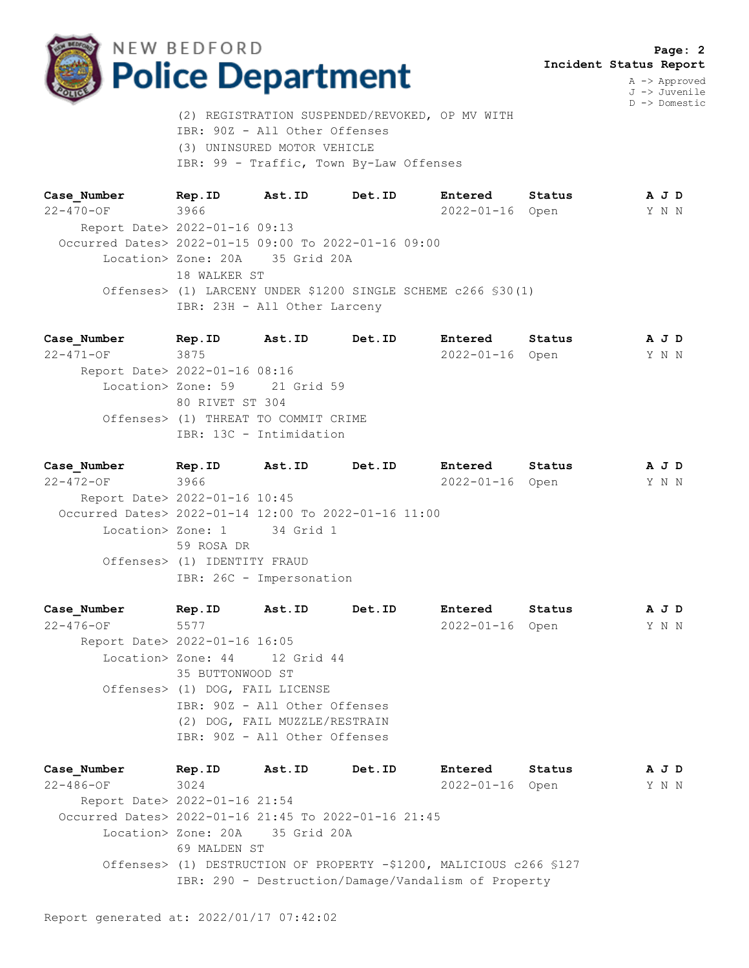

A -> Approved J -> Juvenile D -> Domestic

(2) REGISTRATION SUSPENDED/REVOKED, OP MV WITH IBR: 90Z - All Other Offenses (3) UNINSURED MOTOR VEHICLE IBR: 99 - Traffic, Town By-Law Offenses

**Case\_Number Rep.ID Ast.ID Det.ID Entered Status A J D** 22-470-OF 3966 2022-01-16 Open Y N N Report Date> 2022-01-16 09:13 Occurred Dates> 2022-01-15 09:00 To 2022-01-16 09:00 Location> Zone: 20A 35 Grid 20A 18 WALKER ST Offenses> (1) LARCENY UNDER \$1200 SINGLE SCHEME c266 §30(1) IBR: 23H - All Other Larceny

**Case\_Number Rep.ID Ast.ID Det.ID Entered Status A J D** 22-471-OF 3875 2022-01-16 Open Y N N Report Date> 2022-01-16 08:16 Location> Zone: 59 21 Grid 59 80 RIVET ST 304 Offenses> (1) THREAT TO COMMIT CRIME IBR: 13C - Intimidation

**Case\_Number Rep.ID Ast.ID Det.ID Entered Status A J D** 22-472-OF 3966 2022-01-16 Open Y N N Report Date> 2022-01-16 10:45 Occurred Dates> 2022-01-14 12:00 To 2022-01-16 11:00 Location> Zone: 1 34 Grid 1 59 ROSA DR Offenses> (1) IDENTITY FRAUD IBR: 26C - Impersonation

**Case\_Number Rep.ID Ast.ID Det.ID Entered Status A J D** 22-476-OF 5577 2022-01-16 Open Y N N Report Date> 2022-01-16 16:05 Location> Zone: 44 12 Grid 44 35 BUTTONWOOD ST Offenses> (1) DOG, FAIL LICENSE IBR: 90Z - All Other Offenses (2) DOG, FAIL MUZZLE/RESTRAIN IBR: 90Z - All Other Offenses

**Case\_Number Rep.ID Ast.ID Det.ID Entered Status A J D** 22-486-OF 3024 2022-01-16 Open Y N N Report Date> 2022-01-16 21:54 Occurred Dates> 2022-01-16 21:45 To 2022-01-16 21:45 Location> Zone: 20A 35 Grid 20A 69 MALDEN ST Offenses> (1) DESTRUCTION OF PROPERTY -\$1200, MALICIOUS c266 §127 IBR: 290 - Destruction/Damage/Vandalism of Property